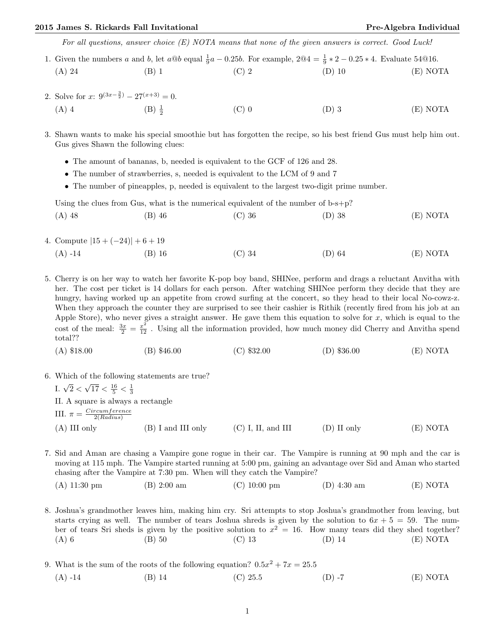## 2015 James S. Rickards Fall Invitational **Pre-Algebra Individual** Pre-Algebra Individual

For all questions, answer choice (E) NOTA means that none of the given answers is correct. Good Luck!

- 1. Given the numbers a and b, let  $a@b$  equal  $\frac{1}{9}a 0.25b$ . For example,  $2@4 = \frac{1}{9} \times 2 0.25 \times 4$ . Evaluate 54@16. (A) 24 (B) 1 (C) 2 (D) 10 (E) NOTA
- 2. Solve for  $x: 9^{(3x-\frac{3}{2})} 27^{(x+3)} = 0$ .
	- (A) 4 (B)  $\frac{1}{2}$ (C) 0  $(D)$  3  $(E)$  NOTA
- 3. Shawn wants to make his special smoothie but has forgotten the recipe, so his best friend Gus must help him out. Gus gives Shawn the following clues:
	- The amount of bananas, b, needed is equivalent to the GCF of 126 and 28.
	- The number of strawberries, s, needed is equivalent to the LCM of 9 and 7
	- The number of pineapples, p, needed is equivalent to the largest two-digit prime number.

Using the clues from Gus, what is the numerical equivalent of the number of  $b-s+p$ ?

(A) 48 (B) 46 (C) 36 (D) 38 (E) NOTA

- 4. Compute  $|15 + (-24)| + 6 + 19$ 
	- (A) -14 (B) 16 (C) 34 (D) 64 (E) NOTA
- 5. Cherry is on her way to watch her favorite K-pop boy band, SHINee, perform and drags a reluctant Anvitha with her. The cost per ticket is 14 dollars for each person. After watching SHINee perform they decide that they are hungry, having worked up an appetite from crowd surfing at the concert, so they head to their local No-cowz-z. When they approach the counter they are surprised to see their cashier is Rithik (recently fired from his job at an Apple Store), who never gives a straight answer. He gave them this equation to solve for  $x$ , which is equal to the cost of the meal:  $\frac{3x}{2} = \frac{x^2}{12}$ . Using all the information provided, how much money did Cherry and Anvitha spend total??
	- (A) \$18.00 (B) \$46.00 (C) \$32.00 (D) \$36.00 (E) NOTA
- 

\n- 6. Which of the following statements are true?
\n- I. 
$$
\sqrt{2} < \sqrt{17} < \frac{16}{5} < \frac{1}{3}
$$
\n- II. A square is always a rectangle
\n- III.  $\pi = \frac{Circumference}{2(Radius)}$
\n- (A) III only
\n- (B) I and III only
\n- (C) I, II, and III
\n- (D) II only
\n- (E) NOTA
\n

- 7. Sid and Aman are chasing a Vampire gone rogue in their car. The Vampire is running at 90 mph and the car is moving at 115 mph. The Vampire started running at 5:00 pm, gaining an advantage over Sid and Aman who started chasing after the Vampire at 7:30 pm. When will they catch the Vampire?
	- (A) 11:30 pm (B) 2:00 am (C) 10:00 pm (D) 4:30 am (E) NOTA

8. Joshua's grandmother leaves him, making him cry. Sri attempts to stop Joshua's grandmother from leaving, but starts crying as well. The number of tears Joshua shreds is given by the solution to  $6x + 5 = 59$ . The number of tears Sri sheds is given by the positive solution to  $x^2 = 16$ . How many tears did they shed together? (A) 6 (B) 50 (C) 13 (D) 14 (E) NOTA

9. What is the sum of the roots of the following equation?  $0.5x^2 + 7x = 25.5$ (A) -14 (B) 14 (C) 25.5 (D) -7 (E) NOTA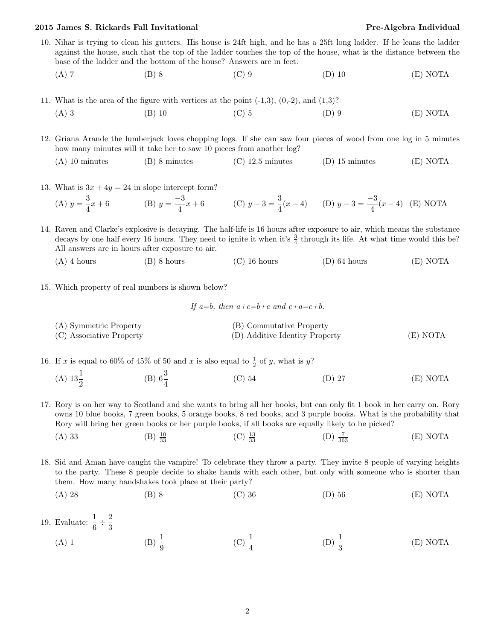## 2015 James S. Rickards Fall Invitational **Pre-Algebra Individual** Pre-Algebra Individual

- 10. Nihar is trying to clean his gutters. His house is 24ft high, and he has a 25ft long ladder. If he leans the ladder against the house, such that the top of the ladder touches the top of the house, what is the distance between the base of the ladder and the bottom of the house? Answers are in feet.
	- (A) 7 (B) 8 (C) 9 (D) 10 (E) NOTA
- 11. What is the area of the figure with vertices at the point  $(-1,3)$ ,  $(0,-2)$ , and  $(1,3)$ ?
	- (A) 3 (B) 10 (C) 5 (D) 9 (E) NOTA

12. Griana Arande the lumberjack loves chopping logs. If she can saw four pieces of wood from one log in 5 minutes how many minutes will it take her to saw 10 pieces from another  $log$ ?

- (A) 10 minutes (B) 8 minutes (C) 12.5 minutes (D) 15 minutes (E) NOTA
- 13. What is  $3x + 4y = 24$  in slope intercept form?

(A) 
$$
y = \frac{3}{4}x + 6
$$
 (B)  $y = \frac{-3}{4}x + 6$  (C)  $y - 3 = \frac{3}{4}(x - 4)$  (D)  $y - 3 = \frac{-3}{4}(x - 4)$  (E) NOTA

14. Raven and Clarke's explosive is decaying. The half-life is 16 hours after exposure to air, which means the substance decays by one half every 16 hours. They need to ignite it when it's  $\frac{3}{4}$  through its life. At what time would this be? All answers are in hours after exposure to air.

- (A) 4 hours (B) 8 hours (C) 16 hours (D) 64 hours (E) NOTA
- 15. Which property of real numbers is shown below?

If a=b, then  $a+c=b+c$  and  $c+a=c+b$ .

(A) Symmetric Property (B) Commutative Property (C) Associative Property (D) Additive Identity Property (E) NOTA

16. If x is equal to 60% of 45% of 50 and x is also equal to  $\frac{1}{2}$  of y, what is y?

(A)  $13\frac{1}{2}$ (B)  $6\frac{3}{4}$ (C) 54 (D) 27 (E) NOTA

17. Rory is on her way to Scotland and she wants to bring all her books, but can only fit 1 book in her carry on. Rory owns 10 blue books, 7 green books, 5 orange books, 8 red books, and 3 purple books. What is the probability that Rory will bring her green books or her purple books, if all books are equally likely to be picked?

- (A) 33 (B)  $\frac{10}{22}$  $(C) \frac{13}{33}$  $(D) \frac{7}{363}$  $(E) NOTA$
- 18. Sid and Aman have caught the vampire! To celebrate they throw a party. They invite 8 people of varying heights to the party. These 8 people decide to shake hands with each other, but only with someone who is shorter than them. How many handshakes took place at their party?
	- (A) 28 (B) 8 (C) 36 (D) 56 (E) NOTA
- 19. Evaluate:  $\frac{1}{6} \div \frac{2}{3}$ 3 (A) 1 (B)  $\frac{1}{9}$ (C)  $\frac{1}{4}$ (D)  $\frac{1}{3}$ (E) NOTA